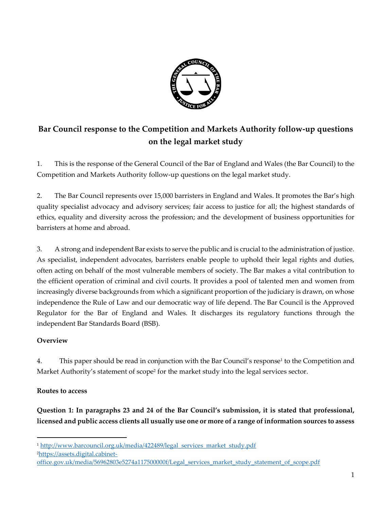

# **Bar Council response to the Competition and Markets Authority follow-up questions on the legal market study**

1. This is the response of the General Council of the Bar of England and Wales (the Bar Council) to the Competition and Markets Authority follow-up questions on the legal market study.

2. The Bar Council represents over 15,000 barristers in England and Wales. It promotes the Bar's high quality specialist advocacy and advisory services; fair access to justice for all; the highest standards of ethics, equality and diversity across the profession; and the development of business opportunities for barristers at home and abroad.

3. A strong and independent Bar exists to serve the public and is crucial to the administration of justice. As specialist, independent advocates, barristers enable people to uphold their legal rights and duties, often acting on behalf of the most vulnerable members of society. The Bar makes a vital contribution to the efficient operation of criminal and civil courts. It provides a pool of talented men and women from increasingly diverse backgrounds from which a significant proportion of the judiciary is drawn, on whose independence the Rule of Law and our democratic way of life depend. The Bar Council is the Approved Regulator for the Bar of England and Wales. It discharges its regulatory functions through the independent Bar Standards Board (BSB).

# **Overview**

4. This paper should be read in conjunction with the Bar Council's response<sup>1</sup> to the Competition and Market Authority's statement of scope<sup>2</sup> for the market study into the legal services sector.

# **Routes to access**

 $\overline{a}$ 

**Question 1: In paragraphs 23 and 24 of the Bar Council's submission, it is stated that professional, licensed and public access clients all usually use one or more of a range of information sources to assess** 

2[https://assets.digital.cabinet-](https://assets.digital.cabinet-office.gov.uk/media/56962803e5274a117500000f/Legal_services_market_study_statement_of_scope.pdf)

<sup>&</sup>lt;sup>1</sup> [http://www.barcouncil.org.uk/media/422489/legal\\_services\\_market\\_study.pdf](http://www.barcouncil.org.uk/media/422489/legal_services_market_study.pdf)

[office.gov.uk/media/56962803e5274a117500000f/Legal\\_services\\_market\\_study\\_statement\\_of\\_scope.pdf](https://assets.digital.cabinet-office.gov.uk/media/56962803e5274a117500000f/Legal_services_market_study_statement_of_scope.pdf)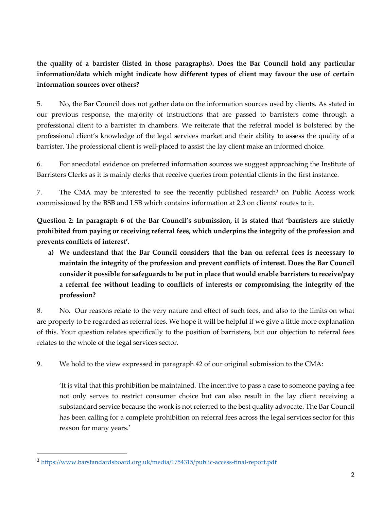**the quality of a barrister (listed in those paragraphs). Does the Bar Council hold any particular information/data which might indicate how different types of client may favour the use of certain information sources over others?** 

5. No, the Bar Council does not gather data on the information sources used by clients. As stated in our previous response, the majority of instructions that are passed to barristers come through a professional client to a barrister in chambers. We reiterate that the referral model is bolstered by the professional client's knowledge of the legal services market and their ability to assess the quality of a barrister. The professional client is well-placed to assist the lay client make an informed choice.

6. For anecdotal evidence on preferred information sources we suggest approaching the Institute of Barristers Clerks as it is mainly clerks that receive queries from potential clients in the first instance.

7. The CMA may be interested to see the recently published research<sup>3</sup> on Public Access work commissioned by the BSB and LSB which contains information at 2.3 on clients' routes to it.

**Question 2: In paragraph 6 of the Bar Council's submission, it is stated that 'barristers are strictly prohibited from paying or receiving referral fees, which underpins the integrity of the profession and prevents conflicts of interest'.**

**a) We understand that the Bar Council considers that the ban on referral fees is necessary to maintain the integrity of the profession and prevent conflicts of interest. Does the Bar Council consider it possible for safeguards to be put in place that would enable barristers to receive/pay a referral fee without leading to conflicts of interests or compromising the integrity of the profession?**

8. No. Our reasons relate to the very nature and effect of such fees, and also to the limits on what are properly to be regarded as referral fees. We hope it will be helpful if we give a little more explanation of this. Your question relates specifically to the position of barristers, but our objection to referral fees relates to the whole of the legal services sector.

9. We hold to the view expressed in paragraph 42 of our original submission to the CMA:

'It is vital that this prohibition be maintained. The incentive to pass a case to someone paying a fee not only serves to restrict consumer choice but can also result in the lay client receiving a substandard service because the work is not referred to the best quality advocate. The Bar Council has been calling for a complete prohibition on referral fees across the legal services sector for this reason for many years.'

<sup>3</sup> <https://www.barstandardsboard.org.uk/media/1754315/public-access-final-report.pdf>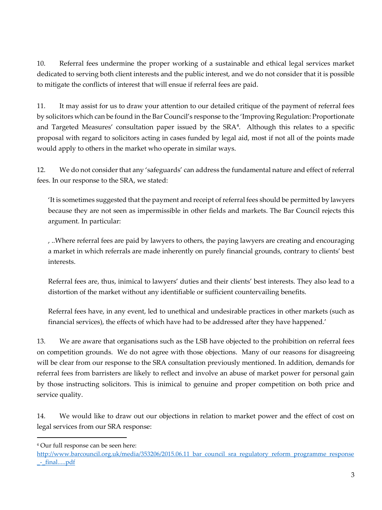10. Referral fees undermine the proper working of a sustainable and ethical legal services market dedicated to serving both client interests and the public interest, and we do not consider that it is possible to mitigate the conflicts of interest that will ensue if referral fees are paid.

11. It may assist for us to draw your attention to our detailed critique of the payment of referral fees by solicitors which can be found in the Bar Council's response to the 'Improving Regulation: Proportionate and Targeted Measures' consultation paper issued by the SRA<sup>4</sup>. Although this relates to a specific proposal with regard to solicitors acting in cases funded by legal aid, most if not all of the points made would apply to others in the market who operate in similar ways.

12. We do not consider that any 'safeguards' can address the fundamental nature and effect of referral fees. In our response to the SRA, we stated:

'It is sometimes suggested that the payment and receipt of referral fees should be permitted by lawyers because they are not seen as impermissible in other fields and markets. The Bar Council rejects this argument. In particular:

, ..Where referral fees are paid by lawyers to others, the paying lawyers are creating and encouraging a market in which referrals are made inherently on purely financial grounds, contrary to clients' best interests.

Referral fees are, thus, inimical to lawyers' duties and their clients' best interests. They also lead to a distortion of the market without any identifiable or sufficient countervailing benefits.

Referral fees have, in any event, led to unethical and undesirable practices in other markets (such as financial services), the effects of which have had to be addressed after they have happened.'

13. We are aware that organisations such as the LSB have objected to the prohibition on referral fees on competition grounds. We do not agree with those objections. Many of our reasons for disagreeing will be clear from our response to the SRA consultation previously mentioned. In addition, demands for referral fees from barristers are likely to reflect and involve an abuse of market power for personal gain by those instructing solicitors. This is inimical to genuine and proper competition on both price and service quality.

14. We would like to draw out our objections in relation to market power and the effect of cost on legal services from our SRA response:

<sup>4</sup> Our full response can be seen here:

http://www.barcouncil.org.uk/media/353206/2015.06.11 bar\_council\_sra\_regulatory\_reform\_programme\_response [\\_-\\_final.....pdf](http://www.barcouncil.org.uk/media/353206/2015.06.11_bar_council_sra_regulatory_reform_programme_response_-_final.....pdf)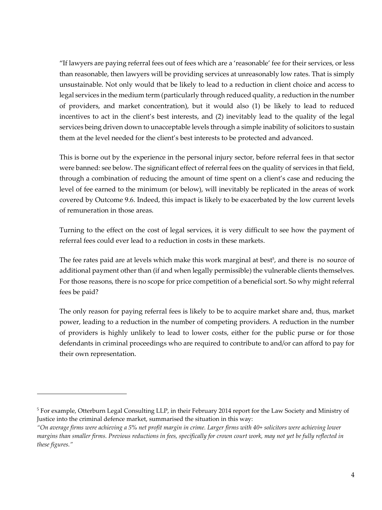"If lawyers are paying referral fees out of fees which are a 'reasonable' fee for their services, or less than reasonable, then lawyers will be providing services at unreasonably low rates. That is simply unsustainable. Not only would that be likely to lead to a reduction in client choice and access to legal services in the medium term (particularly through reduced quality, a reduction in the number of providers, and market concentration), but it would also (1) be likely to lead to reduced incentives to act in the client's best interests, and (2) inevitably lead to the quality of the legal services being driven down to unacceptable levels through a simple inability of solicitors to sustain them at the level needed for the client's best interests to be protected and advanced.

This is borne out by the experience in the personal injury sector, before referral fees in that sector were banned: see below. The significant effect of referral fees on the quality of services in that field, through a combination of reducing the amount of time spent on a client's case and reducing the level of fee earned to the minimum (or below), will inevitably be replicated in the areas of work covered by Outcome 9.6. Indeed, this impact is likely to be exacerbated by the low current levels of remuneration in those areas.

Turning to the effect on the cost of legal services, it is very difficult to see how the payment of referral fees could ever lead to a reduction in costs in these markets.

The fee rates paid are at levels which make this work marginal at best<sup>5</sup>, and there is no source of additional payment other than (if and when legally permissible) the vulnerable clients themselves. For those reasons, there is no scope for price competition of a beneficial sort. So why might referral fees be paid?

The only reason for paying referral fees is likely to be to acquire market share and, thus, market power, leading to a reduction in the number of competing providers. A reduction in the number of providers is highly unlikely to lead to lower costs, either for the public purse or for those defendants in criminal proceedings who are required to contribute to and/or can afford to pay for their own representation.

<sup>5</sup> For example, Otterburn Legal Consulting LLP, in their February 2014 report for the Law Society and Ministry of Justice into the criminal defence market, summarised the situation in this way:

*<sup>&</sup>quot;On average firms were achieving a 5% net profit margin in crime. Larger firms with 40+ solicitors were achieving lower margins than smaller firms. Previous reductions in fees, specifically for crown court work, may not yet be fully reflected in these figures."*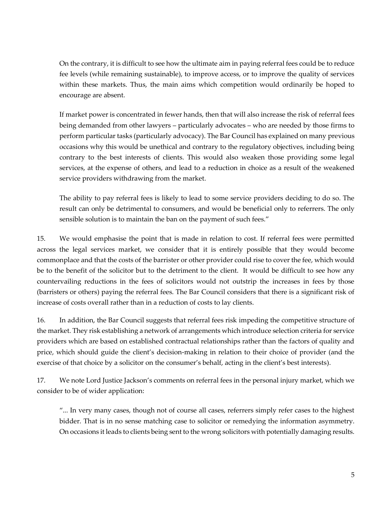On the contrary, it is difficult to see how the ultimate aim in paying referral fees could be to reduce fee levels (while remaining sustainable), to improve access, or to improve the quality of services within these markets. Thus, the main aims which competition would ordinarily be hoped to encourage are absent.

If market power is concentrated in fewer hands, then that will also increase the risk of referral fees being demanded from other lawyers – particularly advocates – who are needed by those firms to perform particular tasks (particularly advocacy). The Bar Council has explained on many previous occasions why this would be unethical and contrary to the regulatory objectives, including being contrary to the best interests of clients. This would also weaken those providing some legal services, at the expense of others, and lead to a reduction in choice as a result of the weakened service providers withdrawing from the market.

The ability to pay referral fees is likely to lead to some service providers deciding to do so. The result can only be detrimental to consumers, and would be beneficial only to referrers. The only sensible solution is to maintain the ban on the payment of such fees."

15. We would emphasise the point that is made in relation to cost. If referral fees were permitted across the legal services market, we consider that it is entirely possible that they would become commonplace and that the costs of the barrister or other provider could rise to cover the fee, which would be to the benefit of the solicitor but to the detriment to the client. It would be difficult to see how any countervailing reductions in the fees of solicitors would not outstrip the increases in fees by those (barristers or others) paying the referral fees. The Bar Council considers that there is a significant risk of increase of costs overall rather than in a reduction of costs to lay clients.

16. In addition, the Bar Council suggests that referral fees risk impeding the competitive structure of the market. They risk establishing a network of arrangements which introduce selection criteria for service providers which are based on established contractual relationships rather than the factors of quality and price, which should guide the client's decision-making in relation to their choice of provider (and the exercise of that choice by a solicitor on the consumer's behalf, acting in the client's best interests).

17. We note Lord Justice Jackson's comments on referral fees in the personal injury market, which we consider to be of wider application:

"... In very many cases, though not of course all cases, referrers simply refer cases to the highest bidder. That is in no sense matching case to solicitor or remedying the information asymmetry. On occasions it leads to clients being sent to the wrong solicitors with potentially damaging results.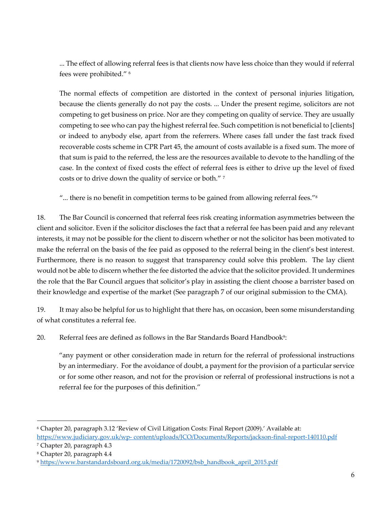... The effect of allowing referral fees is that clients now have less choice than they would if referral fees were prohibited." <sup>6</sup>

The normal effects of competition are distorted in the context of personal injuries litigation, because the clients generally do not pay the costs. ... Under the present regime, solicitors are not competing to get business on price. Nor are they competing on quality of service. They are usually competing to see who can pay the highest referral fee. Such competition is not beneficial to [clients] or indeed to anybody else, apart from the referrers. Where cases fall under the fast track fixed recoverable costs scheme in CPR Part 45, the amount of costs available is a fixed sum. The more of that sum is paid to the referred, the less are the resources available to devote to the handling of the case. In the context of fixed costs the effect of referral fees is either to drive up the level of fixed costs or to drive down the quality of service or both." <sup>7</sup>

"... there is no benefit in competition terms to be gained from allowing referral fees."<sup>8</sup>

18. The Bar Council is concerned that referral fees risk creating information asymmetries between the client and solicitor. Even if the solicitor discloses the fact that a referral fee has been paid and any relevant interests, it may not be possible for the client to discern whether or not the solicitor has been motivated to make the referral on the basis of the fee paid as opposed to the referral being in the client's best interest. Furthermore, there is no reason to suggest that transparency could solve this problem. The lay client would not be able to discern whether the fee distorted the advice that the solicitor provided. It undermines the role that the Bar Council argues that solicitor's play in assisting the client choose a barrister based on their knowledge and expertise of the market (See paragraph 7 of our original submission to the CMA).

19. It may also be helpful for us to highlight that there has, on occasion, been some misunderstanding of what constitutes a referral fee.

20. Referral fees are defined as follows in the Bar Standards Board Handbook<sup>9</sup>:

"any payment or other consideration made in return for the referral of professional instructions by an intermediary. For the avoidance of doubt, a payment for the provision of a particular service or for some other reason, and not for the provision or referral of professional instructions is not a referral fee for the purposes of this definition."

<sup>6</sup> Chapter 20, paragraph 3.12 'Review of Civil Litigation Costs: Final Report (2009).' Available at: https://www.judiciary.gov.uk/wp- [content/uploads/JCO/Documents/Reports/jackson-final-report-140110.pdf](https://www.judiciary.gov.uk/wp-%20content/uploads/JCO/Documents/Reports/jackson-final-report-140110.pdf)

<sup>7</sup> Chapter 20, paragraph 4.3

<sup>8</sup> Chapter 20, paragraph 4.4

<sup>9</sup> [https://www.barstandardsboard.org.uk/media/1720092/bsb\\_handbook\\_april\\_2015.pdf](https://www.barstandardsboard.org.uk/media/1720092/bsb_handbook_april_2015.pdf)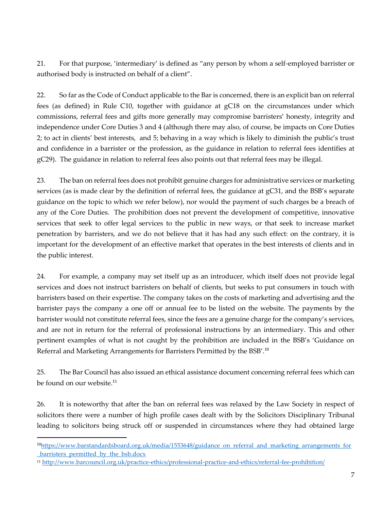21. For that purpose, 'intermediary' is defined as "any person by whom a self-employed barrister or authorised body is instructed on behalf of a client".

22. So far as the Code of Conduct applicable to the Bar is concerned, there is an explicit ban on referral fees (as defined) in Rule C10, together with guidance at gC18 on the circumstances under which commissions, referral fees and gifts more generally may compromise barristers' honesty, integrity and independence under Core Duties 3 and 4 (although there may also, of course, be impacts on Core Duties 2; to act in clients' best interests, and 5; behaving in a way which is likely to diminish the public's trust and confidence in a barrister or the profession, as the guidance in relation to referral fees identifies at gC29). The guidance in relation to referral fees also points out that referral fees may be illegal.

23. The ban on referral fees does not prohibit genuine charges for administrative services or marketing services (as is made clear by the definition of referral fees, the guidance at gC31, and the BSB's separate guidance on the topic to which we refer below), nor would the payment of such charges be a breach of any of the Core Duties. The prohibition does not prevent the development of competitive, innovative services that seek to offer legal services to the public in new ways, or that seek to increase market penetration by barristers, and we do not believe that it has had any such effect: on the contrary, it is important for the development of an effective market that operates in the best interests of clients and in the public interest.

24. For example, a company may set itself up as an introducer, which itself does not provide legal services and does not instruct barristers on behalf of clients, but seeks to put consumers in touch with barristers based on their expertise. The company takes on the costs of marketing and advertising and the barrister pays the company a one off or annual fee to be listed on the website. The payments by the barrister would not constitute referral fees, since the fees are a genuine charge for the company's services, and are not in return for the referral of professional instructions by an intermediary. This and other pertinent examples of what is not caught by the prohibition are included in the BSB's 'Guidance on Referral and Marketing Arrangements for Barristers Permitted by the BSB'.<sup>10</sup>

25. The Bar Council has also issued an ethical assistance document concerning referral fees which can be found on our website.<sup>11</sup>

26. It is noteworthy that after the ban on referral fees was relaxed by the Law Society in respect of solicitors there were a number of high profile cases dealt with by the Solicitors Disciplinary Tribunal leading to solicitors being struck off or suspended in circumstances where they had obtained large

<sup>&</sup>lt;sup>10</sup>h[ttps://www.barstandardsboard.org.uk/media/1553648/guidance\\_on\\_referral\\_and\\_marketing\\_arrangements\\_for](https://www.barstandardsboard.org.uk/media/1553648/guidance_on_referral_and_marketing_arrangements_for_barristers_permitted_by_the_bsb.docx) [\\_barristers\\_permitted\\_by\\_the\\_bsb.docx](https://www.barstandardsboard.org.uk/media/1553648/guidance_on_referral_and_marketing_arrangements_for_barristers_permitted_by_the_bsb.docx)

<sup>11</sup> <http://www.barcouncil.org.uk/practice-ethics/professional-practice-and-ethics/referral-fee-prohibition/>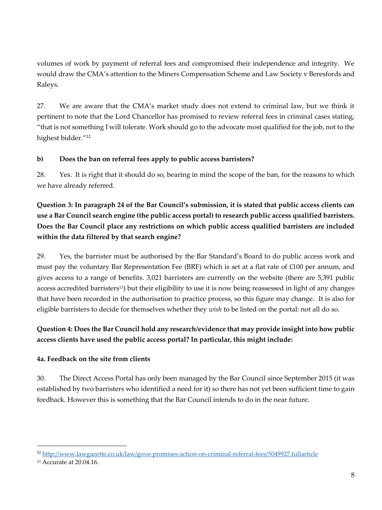volumes of work by payment of referral fees and compromised their independence and integrity. We would draw the CMA's attention to the Miners Compensation Scheme and Law Society v Beresfords and Raleys.

27. We are aware that the CMA's market study does not extend to criminal law, but we think it pertinent to note that the Lord Chancellor has promised to review referral fees in criminal cases stating, "that is not something I will tolerate. Work should go to the advocate most qualified for the job, not to the highest bidder."<sup>12</sup>

# **b) Does the ban on referral fees apply to public access barristers?**

28. Yes. It is right that it should do so, bearing in mind the scope of the ban, for the reasons to which we have already referred.

**Question 3: In paragraph 24 of the Bar Council's submission, it is stated that public access clients can use a Bar Council search engine (the public access portal) to research public access qualified barristers. Does the Bar Council place any restrictions on which public access qualified barristers are included within the data filtered by that search engine?** 

29. Yes, the barrister must be authorised by the Bar Standard's Board to do public access work and must pay the voluntary Bar Representation Fee (BRF) which is set at a flat rate of £100 per annum, and gives access to a range of benefits. 3,021 barristers are currently on the website (there are 5,391 public access accredited barristers<sup>13</sup>) but their eligibility to use it is now being reassessed in light of any changes that have been recorded in the authorisation to practice process, so this figure may change. It is also for eligible barristers to decide for themselves whether they *wish* to be listed on the portal: not all do so.

# **Question 4: Does the Bar Council hold any research/evidence that may provide insight into how public access clients have used the public access portal? In particular, this might include:**

# **4a. Feedback on the site from clients**

30. The Direct Access Portal has only been managed by the Bar Council since September 2015 (it was established by two barristers who identified a need for it) so there has not yet been sufficient time to gain feedback. However this is something that the Bar Council intends to do in the near future.

<sup>12</sup> <http://www.lawgazette.co.uk/law/gove-promises-action-on-criminal-referral-fees/5049927.fullarticle>

<sup>13</sup> Accurate at 20.04.16.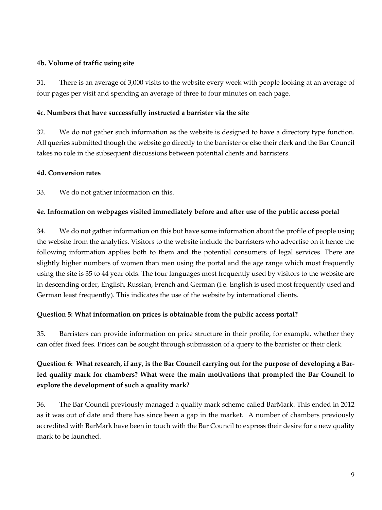### **4b. Volume of traffic using site**

31. There is an average of 3,000 visits to the website every week with people looking at an average of four pages per visit and spending an average of three to four minutes on each page.

### **4c. Numbers that have successfully instructed a barrister via the site**

32. We do not gather such information as the website is designed to have a directory type function. All queries submitted though the website go directly to the barrister or else their clerk and the Bar Council takes no role in the subsequent discussions between potential clients and barristers.

### **4d. Conversion rates**

33. We do not gather information on this.

### **4e. Information on webpages visited immediately before and after use of the public access portal**

34. We do not gather information on this but have some information about the profile of people using the website from the analytics. Visitors to the website include the barristers who advertise on it hence the following information applies both to them and the potential consumers of legal services. There are slightly higher numbers of women than men using the portal and the age range which most frequently using the site is 35 to 44 year olds. The four languages most frequently used by visitors to the website are in descending order, English, Russian, French and German (i.e. English is used most frequently used and German least frequently). This indicates the use of the website by international clients.

# **Question 5: What information on prices is obtainable from the public access portal?**

35. Barristers can provide information on price structure in their profile, for example, whether they can offer fixed fees. Prices can be sought through submission of a query to the barrister or their clerk.

# **Question 6: What research, if any, is the Bar Council carrying out for the purpose of developing a Barled quality mark for chambers? What were the main motivations that prompted the Bar Council to explore the development of such a quality mark?**

36. The Bar Council previously managed a quality mark scheme called BarMark. This ended in 2012 as it was out of date and there has since been a gap in the market. A number of chambers previously accredited with BarMark have been in touch with the Bar Council to express their desire for a new quality mark to be launched.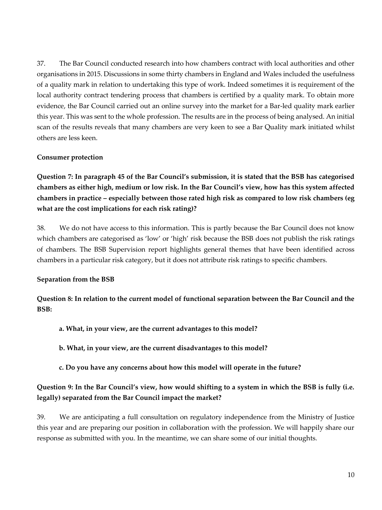37. The Bar Council conducted research into how chambers contract with local authorities and other organisations in 2015. Discussions in some thirty chambers in England and Wales included the usefulness of a quality mark in relation to undertaking this type of work. Indeed sometimes it is requirement of the local authority contract tendering process that chambers is certified by a quality mark. To obtain more evidence, the Bar Council carried out an online survey into the market for a Bar-led quality mark earlier this year. This was sent to the whole profession. The results are in the process of being analysed. An initial scan of the results reveals that many chambers are very keen to see a Bar Quality mark initiated whilst others are less keen.

#### **Consumer protection**

**Question 7: In paragraph 45 of the Bar Council's submission, it is stated that the BSB has categorised chambers as either high, medium or low risk. In the Bar Council's view, how has this system affected chambers in practice – especially between those rated high risk as compared to low risk chambers (eg what are the cost implications for each risk rating)?** 

38. We do not have access to this information. This is partly because the Bar Council does not know which chambers are categorised as 'low' or 'high' risk because the BSB does not publish the risk ratings of chambers. The BSB Supervision report highlights general themes that have been identified across chambers in a particular risk category, but it does not attribute risk ratings to specific chambers.

#### **Separation from the BSB**

**Question 8: In relation to the current model of functional separation between the Bar Council and the BSB:** 

- **a. What, in your view, are the current advantages to this model?**
- **b. What, in your view, are the current disadvantages to this model?**
- **c. Do you have any concerns about how this model will operate in the future?**

# **Question 9: In the Bar Council's view, how would shifting to a system in which the BSB is fully (i.e. legally) separated from the Bar Council impact the market?**

39. We are anticipating a full consultation on regulatory independence from the Ministry of Justice this year and are preparing our position in collaboration with the profession. We will happily share our response as submitted with you. In the meantime, we can share some of our initial thoughts.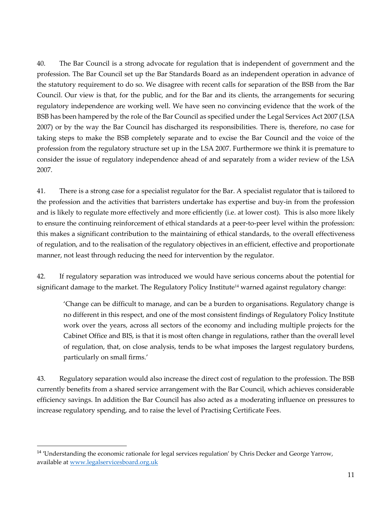40. The Bar Council is a strong advocate for regulation that is independent of government and the profession. The Bar Council set up the Bar Standards Board as an independent operation in advance of the statutory requirement to do so. We disagree with recent calls for separation of the BSB from the Bar Council. Our view is that, for the public, and for the Bar and its clients, the arrangements for securing regulatory independence are working well. We have seen no convincing evidence that the work of the BSB has been hampered by the role of the Bar Council as specified under the Legal Services Act 2007 (LSA 2007) or by the way the Bar Council has discharged its responsibilities. There is, therefore, no case for taking steps to make the BSB completely separate and to excise the Bar Council and the voice of the profession from the regulatory structure set up in the LSA 2007. Furthermore we think it is premature to consider the issue of regulatory independence ahead of and separately from a wider review of the LSA 2007.

41. There is a strong case for a specialist regulator for the Bar. A specialist regulator that is tailored to the profession and the activities that barristers undertake has expertise and buy-in from the profession and is likely to regulate more effectively and more efficiently (i.e. at lower cost). This is also more likely to ensure the continuing reinforcement of ethical standards at a peer-to-peer level within the profession: this makes a significant contribution to the maintaining of ethical standards, to the overall effectiveness of regulation, and to the realisation of the regulatory objectives in an efficient, effective and proportionate manner, not least through reducing the need for intervention by the regulator.

42. If regulatory separation was introduced we would have serious concerns about the potential for significant damage to the market. The Regulatory Policy Institute<sup>14</sup> warned against regulatory change:

'Change can be difficult to manage, and can be a burden to organisations. Regulatory change is no different in this respect, and one of the most consistent findings of Regulatory Policy Institute work over the years, across all sectors of the economy and including multiple projects for the Cabinet Office and BIS, is that it is most often change in regulations, rather than the overall level of regulation, that, on close analysis, tends to be what imposes the largest regulatory burdens, particularly on small firms.'

43. Regulatory separation would also increase the direct cost of regulation to the profession. The BSB currently benefits from a shared service arrangement with the Bar Council, which achieves considerable efficiency savings. In addition the Bar Council has also acted as a moderating influence on pressures to increase regulatory spending, and to raise the level of Practising Certificate Fees.

<sup>&</sup>lt;sup>14</sup> 'Understanding the economic rationale for legal services regulation' by Chris Decker and George Yarrow, available at [www.legalservicesboard.org.uk](http://www.legalservicesboard.org.uk/)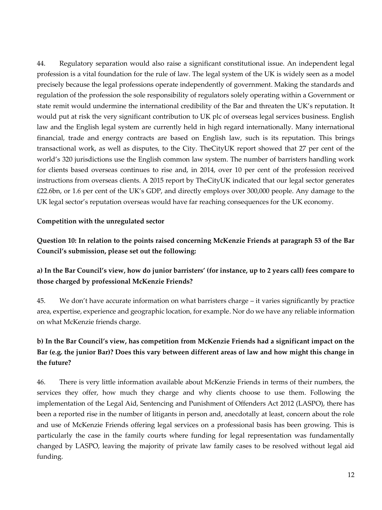44. Regulatory separation would also raise a significant constitutional issue. An independent legal profession is a vital foundation for the rule of law. The legal system of the UK is widely seen as a model precisely because the legal professions operate independently of government. Making the standards and regulation of the profession the sole responsibility of regulators solely operating within a Government or state remit would undermine the international credibility of the Bar and threaten the UK's reputation. It would put at risk the very significant contribution to UK plc of overseas legal services business. English law and the English legal system are currently held in high regard internationally. Many international financial, trade and energy contracts are based on English law, such is its reputation. This brings transactional work, as well as disputes, to the City. TheCityUK report showed that 27 per cent of the world's 320 jurisdictions use the English common law system. The number of barristers handling work for clients based overseas continues to rise and, in 2014, over 10 per cent of the profession received instructions from overseas clients. A 2015 report by TheCityUK indicated that our legal sector generates £22.6bn, or 1.6 per cent of the UK's GDP, and directly employs over 300,000 people. Any damage to the UK legal sector's reputation overseas would have far reaching consequences for the UK economy.

### **Competition with the unregulated sector**

**Question 10: In relation to the points raised concerning McKenzie Friends at paragraph 53 of the Bar Council's submission, please set out the following:** 

# **a) In the Bar Council's view, how do junior barristers' (for instance, up to 2 years call) fees compare to those charged by professional McKenzie Friends?**

45. We don't have accurate information on what barristers charge – it varies significantly by practice area, expertise, experience and geographic location, for example. Nor do we have any reliable information on what McKenzie friends charge.

# **b) In the Bar Council's view, has competition from McKenzie Friends had a significant impact on the Bar (e.g. the junior Bar)? Does this vary between different areas of law and how might this change in the future?**

46. There is very little information available about McKenzie Friends in terms of their numbers, the services they offer, how much they charge and why clients choose to use them. Following the implementation of the Legal Aid, Sentencing and Punishment of Offenders Act 2012 (LASPO), there has been a reported rise in the number of litigants in person and, anecdotally at least, concern about the role and use of McKenzie Friends offering legal services on a professional basis has been growing. This is particularly the case in the family courts where funding for legal representation was fundamentally changed by LASPO, leaving the majority of private law family cases to be resolved without legal aid funding.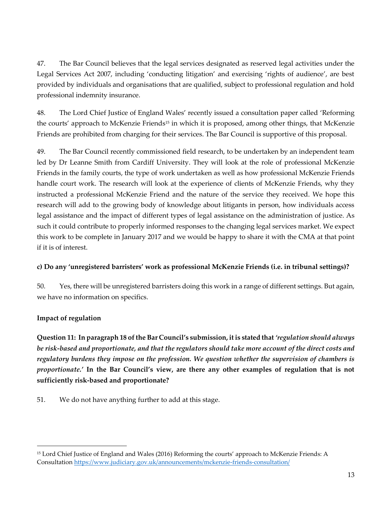47. The Bar Council believes that the legal services designated as reserved legal activities under the Legal Services Act 2007, including 'conducting litigation' and exercising 'rights of audience', are best provided by individuals and organisations that are qualified, subject to professional regulation and hold professional indemnity insurance.

48. The Lord Chief Justice of England Wales' recently issued a consultation paper called 'Reforming the courts' approach to McKenzie Friends<sup>15</sup> in which it is proposed, among other things, that McKenzie Friends are prohibited from charging for their services. The Bar Council is supportive of this proposal.

49. The Bar Council recently commissioned field research, to be undertaken by an independent team led by Dr Leanne Smith from Cardiff University. They will look at the role of professional McKenzie Friends in the family courts, the type of work undertaken as well as how professional McKenzie Friends handle court work. The research will look at the experience of clients of McKenzie Friends, why they instructed a professional McKenzie Friend and the nature of the service they received. We hope this research will add to the growing body of knowledge about litigants in person, how individuals access legal assistance and the impact of different types of legal assistance on the administration of justice. As such it could contribute to properly informed responses to the changing legal services market. We expect this work to be complete in January 2017 and we would be happy to share it with the CMA at that point if it is of interest.

# **c) Do any 'unregistered barristers' work as professional McKenzie Friends (i.e. in tribunal settings)?**

50. Yes, there will be unregistered barristers doing this work in a range of different settings. But again, we have no information on specifics.

# **Impact of regulation**

 $\overline{a}$ 

**Question 11: In paragraph 18 of the Bar Council's submission, it is stated that** *'regulation should always be risk-based and proportionate, and that the regulators should take more account of the direct costs and regulatory burdens they impose on the profession. We question whether the supervision of chambers is proportionate.'* **In the Bar Council's view, are there any other examples of regulation that is not sufficiently risk-based and proportionate?** 

51. We do not have anything further to add at this stage.

<sup>&</sup>lt;sup>15</sup> Lord Chief Justice of England and Wales (2016) Reforming the courts' approach to McKenzie Friends: A Consultation <https://www.judiciary.gov.uk/announcements/mckenzie-friends-consultation/>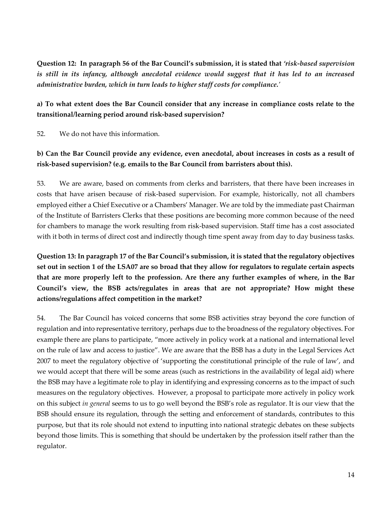**Question 12: In paragraph 56 of the Bar Council's submission, it is stated that** *'risk-based supervision is still in its infancy, although anecdotal evidence would suggest that it has led to an increased administrative burden, which in turn leads to higher staff costs for compliance.'* 

# **a) To what extent does the Bar Council consider that any increase in compliance costs relate to the transitional/learning period around risk-based supervision?**

52. We do not have this information.

# **b) Can the Bar Council provide any evidence, even anecdotal, about increases in costs as a result of risk-based supervision? (e.g. emails to the Bar Council from barristers about this).**

53. We are aware, based on comments from clerks and barristers, that there have been increases in costs that have arisen because of risk-based supervision. For example, historically, not all chambers employed either a Chief Executive or a Chambers' Manager. We are told by the immediate past Chairman of the Institute of Barristers Clerks that these positions are becoming more common because of the need for chambers to manage the work resulting from risk-based supervision. Staff time has a cost associated with it both in terms of direct cost and indirectly though time spent away from day to day business tasks.

**Question 13: In paragraph 17 of the Bar Council's submission, it is stated that the regulatory objectives set out in section 1 of the LSA07 are so broad that they allow for regulators to regulate certain aspects that are more properly left to the profession. Are there any further examples of where, in the Bar Council's view, the BSB acts/regulates in areas that are not appropriate? How might these actions/regulations affect competition in the market?** 

54. The Bar Council has voiced concerns that some BSB activities stray beyond the core function of regulation and into representative territory, perhaps due to the broadness of the regulatory objectives. For example there are plans to participate, "more actively in policy work at a national and international level on the rule of law and access to justice". We are aware that the BSB has a duty in the Legal Services Act 2007 to meet the regulatory objective of 'supporting the constitutional principle of the rule of law', and we would accept that there will be some areas (such as restrictions in the availability of legal aid) where the BSB may have a legitimate role to play in identifying and expressing concerns as to the impact of such measures on the regulatory objectives. However, a proposal to participate more actively in policy work on this subject *in general* seems to us to go well beyond the BSB's role as regulator. It is our view that the BSB should ensure its regulation, through the setting and enforcement of standards, contributes to this purpose, but that its role should not extend to inputting into national strategic debates on these subjects beyond those limits. This is something that should be undertaken by the profession itself rather than the regulator.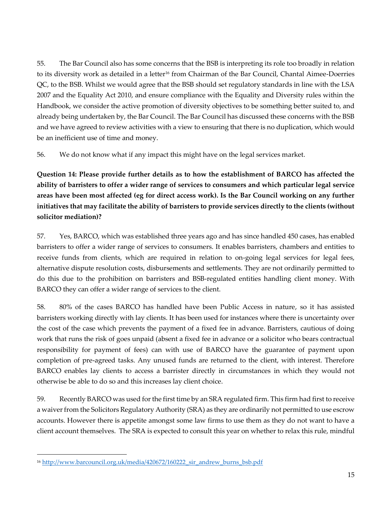55. The Bar Council also has some concerns that the BSB is interpreting its role too broadly in relation to its diversity work as detailed in a letter<sup>16</sup> from Chairman of the Bar Council, Chantal Aimee-Doerries QC, to the BSB. Whilst we would agree that the BSB should set regulatory standards in line with the LSA 2007 and the Equality Act 2010, and ensure compliance with the Equality and Diversity rules within the Handbook, we consider the active promotion of diversity objectives to be something better suited to, and already being undertaken by, the Bar Council. The Bar Council has discussed these concerns with the BSB and we have agreed to review activities with a view to ensuring that there is no duplication, which would be an inefficient use of time and money.

56. We do not know what if any impact this might have on the legal services market.

**Question 14: Please provide further details as to how the establishment of BARCO has affected the ability of barristers to offer a wider range of services to consumers and which particular legal service areas have been most affected (eg for direct access work). Is the Bar Council working on any further initiatives that may facilitate the ability of barristers to provide services directly to the clients (without solicitor mediation)?** 

57. Yes, BARCO, which was established three years ago and has since handled 450 cases, has enabled barristers to offer a wider range of services to consumers. It enables barristers, chambers and entities to receive funds from clients, which are required in relation to on-going legal services for legal fees, alternative dispute resolution costs, disbursements and settlements. They are not ordinarily permitted to do this due to the prohibition on barristers and BSB-regulated entities handling client money. With BARCO they can offer a wider range of services to the client.

58. 80% of the cases BARCO has handled have been Public Access in nature, so it has assisted barristers working directly with lay clients. It has been used for instances where there is uncertainty over the cost of the case which prevents the payment of a fixed fee in advance. Barristers, cautious of doing work that runs the risk of goes unpaid (absent a fixed fee in advance or a solicitor who bears contractual responsibility for payment of fees) can with use of BARCO have the guarantee of payment upon completion of pre-agreed tasks. Any unused funds are returned to the client, with interest. Therefore BARCO enables lay clients to access a barrister directly in circumstances in which they would not otherwise be able to do so and this increases lay client choice.

59. Recently BARCO was used for the first time by an SRA regulated firm. This firm had first to receive a waiver from the Solicitors Regulatory Authority (SRA) as they are ordinarily not permitted to use escrow accounts. However there is appetite amongst some law firms to use them as they do not want to have a client account themselves. The SRA is expected to consult this year on whether to relax this rule, mindful

<sup>&</sup>lt;sup>16</sup> [http://www.barcouncil.org.uk/media/420672/160222\\_sir\\_andrew\\_burns\\_bsb.pdf](http://www.barcouncil.org.uk/media/420672/160222_sir_andrew_burns_bsb.pdf)